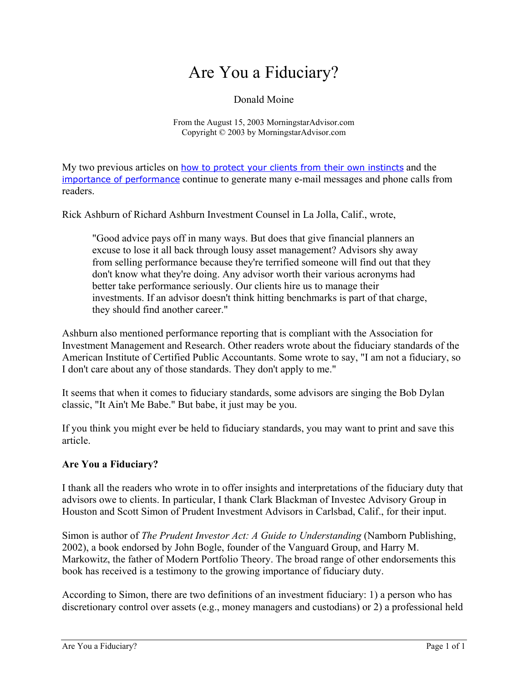# Are You a Fiduciary?

## Donald Moine

From the August 15, 2003 MorningstarAdvisor.com Copyright © 2003 by MorningstarAdvisor.com

My two previous articles on [how to protect your clients from their own instincts](http://advisor.morningstar.com/advisor/doc/article/0,8832,3091,00.html) and the [importance of performance](http://advisor.morningstar.com/advisor/doc/article/0,8832,3118,00.html) continue to generate many e-mail messages and phone calls from readers.

Rick Ashburn of Richard Ashburn Investment Counsel in La Jolla, Calif., wrote,

"Good advice pays off in many ways. But does that give financial planners an excuse to lose it all back through lousy asset management? Advisors shy away from selling performance because they're terrified someone will find out that they don't know what they're doing. Any advisor worth their various acronyms had better take performance seriously. Our clients hire us to manage their investments. If an advisor doesn't think hitting benchmarks is part of that charge, they should find another career."

Ashburn also mentioned performance reporting that is compliant with the Association for Investment Management and Research. Other readers wrote about the fiduciary standards of the American Institute of Certified Public Accountants. Some wrote to say, "I am not a fiduciary, so I don't care about any of those standards. They don't apply to me."

It seems that when it comes to fiduciary standards, some advisors are singing the Bob Dylan classic, "It Ain't Me Babe." But babe, it just may be you.

If you think you might ever be held to fiduciary standards, you may want to print and save this article.

## **Are You a Fiduciary?**

I thank all the readers who wrote in to offer insights and interpretations of the fiduciary duty that advisors owe to clients. In particular, I thank Clark Blackman of Investec Advisory Group in Houston and Scott Simon of Prudent Investment Advisors in Carlsbad, Calif., for their input.

Simon is author of *The Prudent Investor Act: A Guide to Understanding* (Namborn Publishing, 2002), a book endorsed by John Bogle, founder of the Vanguard Group, and Harry M. Markowitz, the father of Modern Portfolio Theory. The broad range of other endorsements this book has received is a testimony to the growing importance of fiduciary duty.

According to Simon, there are two definitions of an investment fiduciary: 1) a person who has discretionary control over assets (e.g., money managers and custodians) or 2) a professional held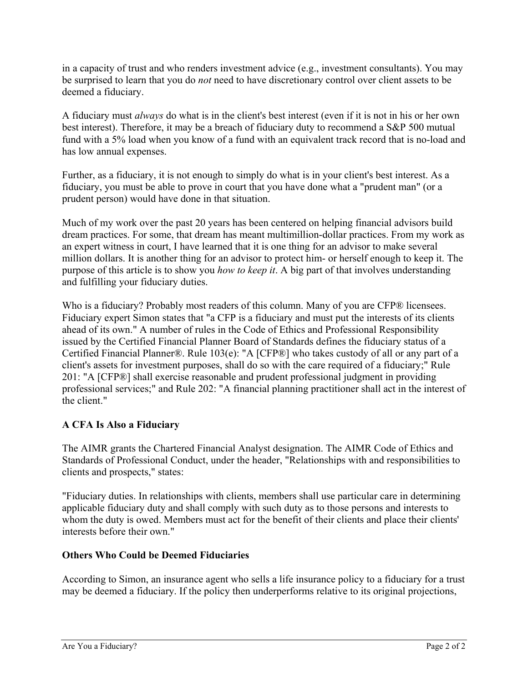in a capacity of trust and who renders investment advice (e.g., investment consultants). You may be surprised to learn that you do *not* need to have discretionary control over client assets to be deemed a fiduciary.

A fiduciary must *always* do what is in the client's best interest (even if it is not in his or her own best interest). Therefore, it may be a breach of fiduciary duty to recommend a S&P 500 mutual fund with a 5% load when you know of a fund with an equivalent track record that is no-load and has low annual expenses.

Further, as a fiduciary, it is not enough to simply do what is in your client's best interest. As a fiduciary, you must be able to prove in court that you have done what a "prudent man" (or a prudent person) would have done in that situation.

Much of my work over the past 20 years has been centered on helping financial advisors build dream practices. For some, that dream has meant multimillion-dollar practices. From my work as an expert witness in court, I have learned that it is one thing for an advisor to make several million dollars. It is another thing for an advisor to protect him- or herself enough to keep it. The purpose of this article is to show you *how to keep it*. A big part of that involves understanding and fulfilling your fiduciary duties.

Who is a fiduciary? Probably most readers of this column. Many of you are CFP® licensees. Fiduciary expert Simon states that "a CFP is a fiduciary and must put the interests of its clients ahead of its own." A number of rules in the Code of Ethics and Professional Responsibility issued by the Certified Financial Planner Board of Standards defines the fiduciary status of a Certified Financial Planner®. Rule 103(e): "A [CFP®] who takes custody of all or any part of a client's assets for investment purposes, shall do so with the care required of a fiduciary;" Rule 201: "A [CFP®] shall exercise reasonable and prudent professional judgment in providing professional services;" and Rule 202: "A financial planning practitioner shall act in the interest of the client."

## **A CFA Is Also a Fiduciary**

The AIMR grants the Chartered Financial Analyst designation. The AIMR Code of Ethics and Standards of Professional Conduct, under the header, "Relationships with and responsibilities to clients and prospects," states:

"Fiduciary duties. In relationships with clients, members shall use particular care in determining applicable fiduciary duty and shall comply with such duty as to those persons and interests to whom the duty is owed. Members must act for the benefit of their clients and place their clients' interests before their own."

## **Others Who Could be Deemed Fiduciaries**

According to Simon, an insurance agent who sells a life insurance policy to a fiduciary for a trust may be deemed a fiduciary. If the policy then underperforms relative to its original projections,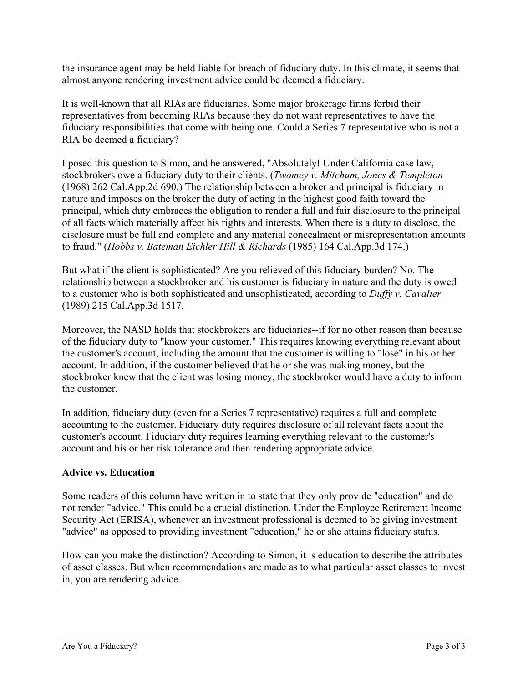the insurance agent may be held liable for breach of fiduciary duty. In this climate, it seems that almost anyone rendering investment advice could be deemed a fiduciary.

It is well-known that all RIAs are fiduciaries. Some major brokerage firms forbid their representatives from becoming RIAs because they do not want representatives to have the fiduciary responsibilities that come with being one. Could a Series 7 representative who is not a RIA be deemed a fiduciary?

I posed this question to Simon, and he answered, "Absolutely! Under California case law, stockbrokers owe a fiduciary duty to their clients. (*Twomey v. Mitchum, Jones & Templeton* (1968) 262 Cal.App.2d 690.) The relationship between a broker and principal is fiduciary in nature and imposes on the broker the duty of acting in the highest good faith toward the principal, which duty embraces the obligation to render a full and fair disclosure to the principal of all facts which materially affect his rights and interests. When there is a duty to disclose, the disclosure must be full and complete and any material concealment or misrepresentation amounts to fraud." (*Hobbs v. Bateman Eichler Hill & Richards* (1985) 164 Cal.App.3d 174.)

But what if the client is sophisticated? Are you relieved of this fiduciary burden? No. The relationship between a stockbroker and his customer is fiduciary in nature and the duty is owed to a customer who is both sophisticated and unsophisticated, according to *Duffy v. Cavalier* (1989) 215 Cal.App.3d 1517.

Moreover, the NASD holds that stockbrokers are fiduciaries--if for no other reason than because of the fiduciary duty to "know your customer." This requires knowing everything relevant about the customer's account, including the amount that the customer is willing to "lose" in his or her account. In addition, if the customer believed that he or she was making money, but the stockbroker knew that the client was losing money, the stockbroker would have a duty to inform the customer.

In addition, fiduciary duty (even for a Series 7 representative) requires a full and complete accounting to the customer. Fiduciary duty requires disclosure of all relevant facts about the customer's account. Fiduciary duty requires learning everything relevant to the customer's account and his or her risk tolerance and then rendering appropriate advice.

## **Advice vs. Education**

Some readers of this column have written in to state that they only provide "education" and do not render "advice." This could be a crucial distinction. Under the Employee Retirement Income Security Act (ERISA), whenever an investment professional is deemed to be giving investment "advice" as opposed to providing investment "education," he or she attains fiduciary status.

How can you make the distinction? According to Simon, it is education to describe the attributes of asset classes. But when recommendations are made as to what particular asset classes to invest in, you are rendering advice.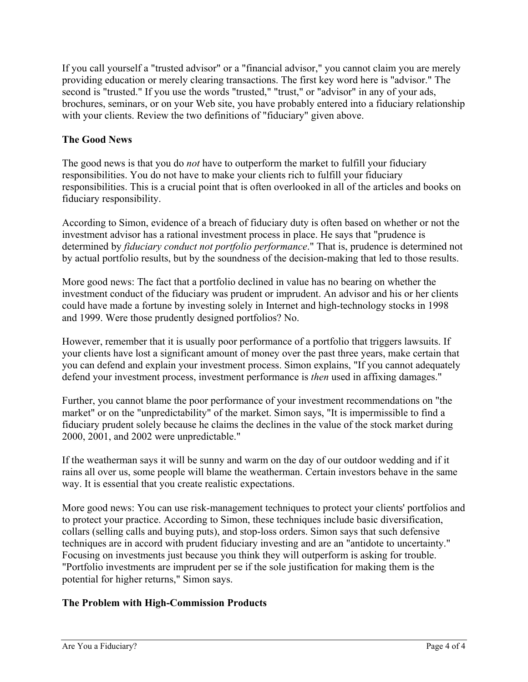If you call yourself a "trusted advisor" or a "financial advisor," you cannot claim you are merely providing education or merely clearing transactions. The first key word here is "advisor." The second is "trusted." If you use the words "trusted," "trust," or "advisor" in any of your ads, brochures, seminars, or on your Web site, you have probably entered into a fiduciary relationship with your clients. Review the two definitions of "fiduciary" given above.

## **The Good News**

The good news is that you do *not* have to outperform the market to fulfill your fiduciary responsibilities. You do not have to make your clients rich to fulfill your fiduciary responsibilities. This is a crucial point that is often overlooked in all of the articles and books on fiduciary responsibility.

According to Simon, evidence of a breach of fiduciary duty is often based on whether or not the investment advisor has a rational investment process in place. He says that "prudence is determined by *fiduciary conduct not portfolio performance*." That is, prudence is determined not by actual portfolio results, but by the soundness of the decision-making that led to those results.

More good news: The fact that a portfolio declined in value has no bearing on whether the investment conduct of the fiduciary was prudent or imprudent. An advisor and his or her clients could have made a fortune by investing solely in Internet and high-technology stocks in 1998 and 1999. Were those prudently designed portfolios? No.

However, remember that it is usually poor performance of a portfolio that triggers lawsuits. If your clients have lost a significant amount of money over the past three years, make certain that you can defend and explain your investment process. Simon explains, "If you cannot adequately defend your investment process, investment performance is *then* used in affixing damages."

Further, you cannot blame the poor performance of your investment recommendations on "the market" or on the "unpredictability" of the market. Simon says, "It is impermissible to find a fiduciary prudent solely because he claims the declines in the value of the stock market during 2000, 2001, and 2002 were unpredictable."

If the weatherman says it will be sunny and warm on the day of our outdoor wedding and if it rains all over us, some people will blame the weatherman. Certain investors behave in the same way. It is essential that you create realistic expectations.

More good news: You can use risk-management techniques to protect your clients' portfolios and to protect your practice. According to Simon, these techniques include basic diversification, collars (selling calls and buying puts), and stop-loss orders. Simon says that such defensive techniques are in accord with prudent fiduciary investing and are an "antidote to uncertainty." Focusing on investments just because you think they will outperform is asking for trouble. "Portfolio investments are imprudent per se if the sole justification for making them is the potential for higher returns," Simon says.

## **The Problem with High-Commission Products**